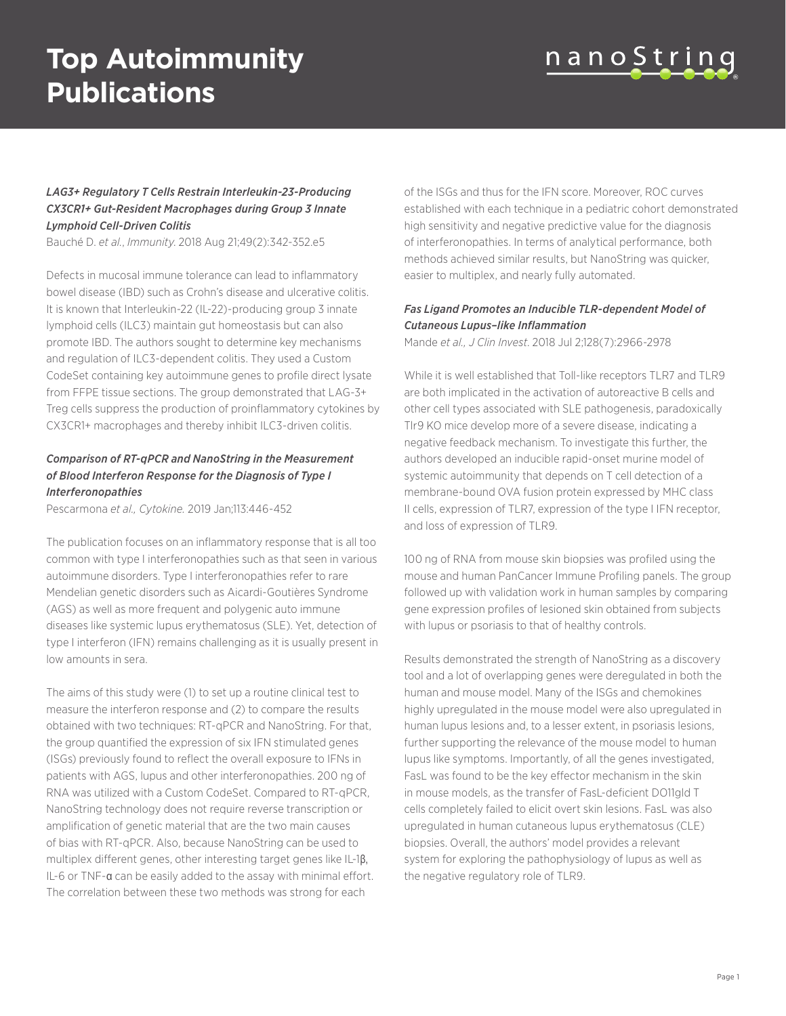# **Top Autoimmunity Publications**



### *LAG3+ Regulatory T Cells Restrain Interleukin-23-Producing CX3CR1+ Gut-Resident Macrophages during Group 3 Innate Lymphoid Cell-Driven Colitis*

Bauché D. *et al.*, *Immunity*. 2018 Aug 21;49(2):342-352.e5

Defects in mucosal immune tolerance can lead to inflammatory bowel disease (IBD) such as Crohn's disease and ulcerative colitis. It is known that Interleukin-22 (IL-22)-producing group 3 innate lymphoid cells (ILC3) maintain gut homeostasis but can also promote IBD. The authors sought to determine key mechanisms and regulation of ILC3-dependent colitis. They used a Custom CodeSet containing key autoimmune genes to profile direct lysate from FFPE tissue sections. The group demonstrated that LAG-3+ Treg cells suppress the production of proinflammatory cytokines by CX3CR1+ macrophages and thereby inhibit ILC3-driven colitis.

### *Comparison of RT-qPCR and NanoString in the Measurement of Blood Interferon Response for the Diagnosis of Type I Interferonopathies*

Pescarmona *et al., Cytokine.* 2019 Jan;113:446-452

The publication focuses on an inflammatory response that is all too common with type I interferonopathies such as that seen in various autoimmune disorders. Type I interferonopathies refer to rare Mendelian genetic disorders such as Aicardi-Goutières Syndrome (AGS) as well as more frequent and polygenic auto immune diseases like systemic lupus erythematosus (SLE). Yet, detection of type I interferon (IFN) remains challenging as it is usually present in low amounts in sera.

The aims of this study were (1) to set up a routine clinical test to measure the interferon response and (2) to compare the results obtained with two techniques: RT-qPCR and NanoString. For that, the group quantified the expression of six IFN stimulated genes (ISGs) previously found to reflect the overall exposure to IFNs in patients with AGS, lupus and other interferonopathies. 200 ng of RNA was utilized with a Custom CodeSet. Compared to RT-qPCR, NanoString technology does not require reverse transcription or amplification of genetic material that are the two main causes of bias with RT-qPCR. Also, because NanoString can be used to multiplex different genes, other interesting target genes like IL-1β, IL-6 or TNF-α can be easily added to the assay with minimal effort. The correlation between these two methods was strong for each

of the ISGs and thus for the IFN score. Moreover, ROC curves established with each technique in a pediatric cohort demonstrated high sensitivity and negative predictive value for the diagnosis of interferonopathies. In terms of analytical performance, both methods achieved similar results, but NanoString was quicker, easier to multiplex, and nearly fully automated.

### *Fas Ligand Promotes an Inducible TLR-dependent Model of Cutaneous Lupus–like Inflammation*

Mande *et al., J Clin Invest*. 2018 Jul 2;128(7):2966-2978

While it is well established that Toll-like receptors TLR7 and TLR9 are both implicated in the activation of autoreactive B cells and other cell types associated with SLE pathogenesis, paradoxically Tlr9 KO mice develop more of a severe disease, indicating a negative feedback mechanism. To investigate this further, the authors developed an inducible rapid-onset murine model of systemic autoimmunity that depends on T cell detection of a membrane-bound OVA fusion protein expressed by MHC class II cells, expression of TLR7, expression of the type I IFN receptor, and loss of expression of TLR9.

100 ng of RNA from mouse skin biopsies was profiled using the mouse and human PanCancer Immune Profiling panels. The group followed up with validation work in human samples by comparing gene expression profiles of lesioned skin obtained from subjects with lupus or psoriasis to that of healthy controls.

Results demonstrated the strength of NanoString as a discovery tool and a lot of overlapping genes were deregulated in both the human and mouse model. Many of the ISGs and chemokines highly upregulated in the mouse model were also upregulated in human lupus lesions and, to a lesser extent, in psoriasis lesions, further supporting the relevance of the mouse model to human lupus like symptoms. Importantly, of all the genes investigated, FasL was found to be the key effector mechanism in the skin in mouse models, as the transfer of FasL-deficient DO11gld T cells completely failed to elicit overt skin lesions. FasL was also upregulated in human cutaneous lupus erythematosus (CLE) biopsies. Overall, the authors' model provides a relevant system for exploring the pathophysiology of lupus as well as the negative regulatory role of TLR9.